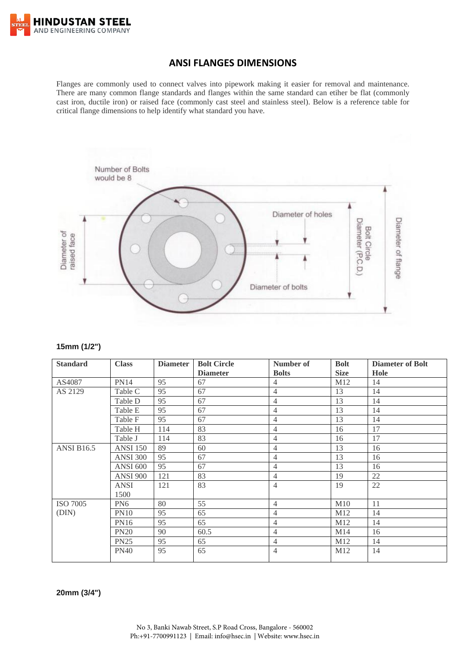

### **ANSI FLANGES DIMENSIONS**

Flanges are commonly used to connect valves into pipework making it easier for removal and maintenance. There are many common flange standards and flanges within the same standard can etiher be flat (commonly cast iron, ductile iron) or raised face (commonly cast steel and stainless steel). Below is a reference table for critical flange dimensions to help identify what standard you have.



#### **15mm (1/2")**

| <b>Standard</b>   | <b>Class</b>    | <b>Diameter</b> | <b>Bolt Circle</b><br><b>Diameter</b> | Number of<br><b>Bolts</b> | <b>Bolt</b><br><b>Size</b> | <b>Diameter of Bolt</b><br>Hole |
|-------------------|-----------------|-----------------|---------------------------------------|---------------------------|----------------------------|---------------------------------|
| AS4087            | <b>PN14</b>     | 95              | 67                                    | $\overline{4}$            | M12                        | 14                              |
| AS 2129           | Table C         | 95              | 67                                    | 4                         | 13                         | 14                              |
|                   | Table D         | 95              | 67                                    | $\overline{4}$            | 13                         | 14                              |
|                   | Table E         | 95              | 67                                    | $\overline{4}$            | 13                         | 14                              |
|                   | Table F         | 95              | 67                                    | $\overline{4}$            | 13                         | 14                              |
|                   | Table H         | 114             | 83                                    | $\overline{4}$            | 16                         | 17                              |
|                   | Table J         | 114             | 83                                    | $\overline{4}$            | 16                         | 17                              |
| <b>ANSI B16.5</b> | <b>ANSI</b> 150 | 89              | 60                                    | $\overline{4}$            | 13                         | 16                              |
|                   | <b>ANSI 300</b> | 95              | 67                                    | $\overline{4}$            | 13                         | 16                              |
|                   | <b>ANSI 600</b> | 95              | 67                                    | $\overline{4}$            | 13                         | 16                              |
|                   | <b>ANSI 900</b> | 121             | 83                                    | $\overline{4}$            | 19                         | 22                              |
|                   | <b>ANSI</b>     | 121             | 83                                    | $\overline{4}$            | 19                         | 22                              |
|                   | 1500            |                 |                                       |                           |                            |                                 |
| <b>ISO 7005</b>   | PN <sub>6</sub> | 80              | 55                                    | $\overline{4}$            | M10                        | 11                              |
| (DIN)             | <b>PN10</b>     | 95              | 65                                    | $\overline{4}$            | M <sub>12</sub>            | 14                              |
|                   | <b>PN16</b>     | 95              | 65                                    | $\overline{4}$            | M <sub>12</sub>            | 14                              |
|                   | <b>PN20</b>     | 90              | 60.5                                  | $\overline{4}$            | M14                        | 16                              |
|                   | <b>PN25</b>     | 95              | 65                                    | $\overline{4}$            | M12                        | 14                              |
|                   | <b>PN40</b>     | 95              | 65                                    | $\overline{4}$            | M12                        | 14                              |

**20mm (3/4")**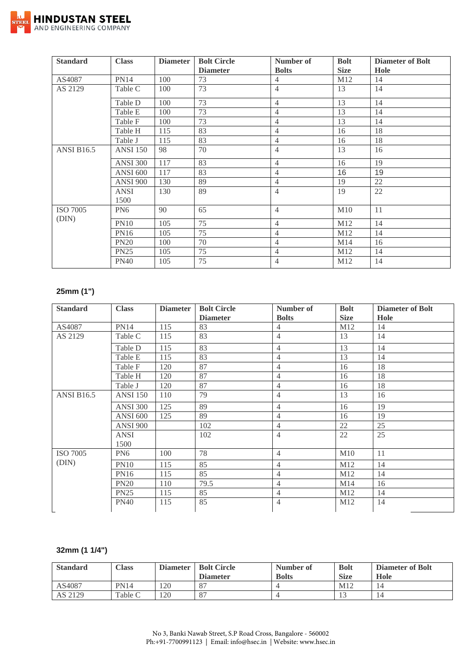

| <b>Standard</b>          | <b>Class</b>        | <b>Diameter</b> | <b>Bolt Circle</b> | Number of      | <b>Bolt</b> | <b>Diameter of Bolt</b> |
|--------------------------|---------------------|-----------------|--------------------|----------------|-------------|-------------------------|
|                          |                     |                 | <b>Diameter</b>    | <b>Bolts</b>   | <b>Size</b> | Hole                    |
| AS4087                   | <b>PN14</b>         | 100             | 73                 | $\overline{4}$ | M12         | 14                      |
| AS 2129                  | Table C             | 100             | 73                 | $\overline{4}$ | 13          | 14                      |
|                          | Table D             | 100             | 73                 | $\overline{4}$ | 13          | 14                      |
|                          | Table E             | 100             | 73                 | $\overline{4}$ | 13          | 14                      |
|                          | Table F             | 100             | 73                 | $\overline{4}$ | 13          | 14                      |
|                          | Table H             | 115             | 83                 | 4              | 16          | 18                      |
|                          | Table J             | 115             | 83                 | $\overline{4}$ | 16          | 18                      |
| <b>ANSI B16.5</b>        | <b>ANSI</b> 150     | 98              | 70                 | $\overline{4}$ | 13          | 16                      |
|                          | <b>ANSI 300</b>     | 117             | 83                 | $\overline{4}$ | 16          | 19                      |
|                          | <b>ANSI 600</b>     | 117             | 83                 | $\overline{4}$ | 16          | 19                      |
|                          | <b>ANSI 900</b>     | 130             | 89                 | $\overline{4}$ | 19          | 22                      |
|                          | <b>ANSI</b><br>1500 | 130             | 89                 | $\overline{4}$ | 19          | 22                      |
| <b>ISO 7005</b><br>(DIN) | PN <sub>6</sub>     | 90              | 65                 | $\overline{4}$ | M10         | 11                      |
|                          | <b>PN10</b>         | 105             | 75                 | $\overline{4}$ | M12         | 14                      |
|                          | <b>PN16</b>         | 105             | 75                 | $\overline{4}$ | M12         | 14                      |
|                          | <b>PN20</b>         | 100             | 70                 | $\overline{4}$ | M14         | 16                      |
|                          | <b>PN25</b>         | 105             | 75                 | $\overline{4}$ | M12         | 14                      |
|                          | <b>PN40</b>         | 105             | 75                 | $\overline{4}$ | M12         | 14                      |

## **25mm (1")**

| <b>Standard</b>   | <b>Class</b>    | <b>Diameter</b> | <b>Bolt Circle</b> | Number of      | <b>Bolt</b> | <b>Diameter of Bolt</b> |
|-------------------|-----------------|-----------------|--------------------|----------------|-------------|-------------------------|
|                   |                 |                 | <b>Diameter</b>    | <b>Bolts</b>   | <b>Size</b> | Hole                    |
| AS4087            | <b>PN14</b>     | 115             | 83                 | $\overline{4}$ | M12         | 14                      |
| AS 2129           | Table C         | 115             | 83                 | $\overline{4}$ | 13          | 14                      |
|                   | Table D         | 115             | 83                 | 4              | 13          | 14                      |
|                   | Table E         | 115             | 83                 | 4              | 13          | 14                      |
|                   | Table F         | 120             | 87                 | $\overline{4}$ | 16          | 18                      |
|                   | Table H         | 120             | 87                 | 4              | 16          | 18                      |
|                   | Table J         | 120             | 87                 | 4              | 16          | 18                      |
| <b>ANSI B16.5</b> | <b>ANSI 150</b> | 110             | 79                 | 4              | 13          | 16                      |
|                   | <b>ANSI 300</b> | 125             | 89                 | $\overline{4}$ | 16          | 19                      |
|                   | <b>ANSI 600</b> | 125             | 89                 | 4              | 16          | 19                      |
|                   | <b>ANSI 900</b> |                 | 102                | 4              | 22          | 25                      |
|                   | <b>ANSI</b>     |                 | 102                | $\overline{4}$ | 22          | 25                      |
|                   | 1500            |                 |                    |                |             |                         |
| <b>ISO 7005</b>   | PN <sub>6</sub> | 100             | 78                 | 4              | M10         | 11                      |
| (DIN)             | <b>PN10</b>     | 115             | 85                 | 4              | M12         | 14                      |
|                   | <b>PN16</b>     | 115             | 85                 | 4              | M12         | 14                      |
|                   | <b>PN20</b>     | 110             | 79.5               | 4              | M14         | 16                      |
|                   | <b>PN25</b>     | 115             | 85                 | 4              | M12         | 14                      |
|                   | <b>PN40</b>     | 115             | 85                 | 4              | M12         | 14                      |

## **32mm (1 1/4")**

| <b>Standard</b> | $\gamma$ lass | <b>Diameter</b> | <b>Bolt Circle</b><br><b>Diameter</b> | Number of<br><b>Bolts</b> | <b>Bolt</b><br><b>Size</b> | <b>Diameter of Bolt</b><br>Hole |
|-----------------|---------------|-----------------|---------------------------------------|---------------------------|----------------------------|---------------------------------|
| AS4087          | <b>PN14</b>   | 120             | O <sub>7</sub>                        |                           | M12                        |                                 |
| AS 2129         | Table C       | 120             | O <sub>7</sub>                        |                           |                            | 14                              |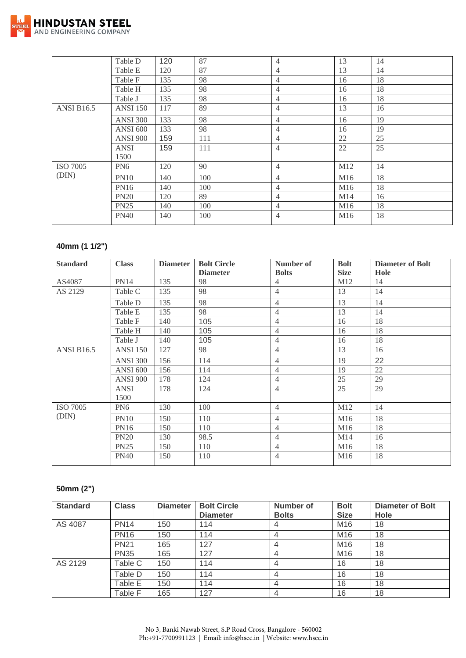

|                   | Table D         | 120 | 87  | $\overline{4}$ | 13              | 14 |
|-------------------|-----------------|-----|-----|----------------|-----------------|----|
|                   | Table E         | 120 | 87  | $\overline{4}$ | 13              | 14 |
|                   | Table F         | 135 | 98  | $\overline{4}$ | 16              | 18 |
|                   | Table H         | 135 | 98  | $\overline{4}$ | 16              | 18 |
|                   | Table J         | 135 | 98  | $\overline{4}$ | 16              | 18 |
| <b>ANSI B16.5</b> | <b>ANSI</b> 150 | 117 | 89  | $\overline{4}$ | 13              | 16 |
|                   | <b>ANSI 300</b> | 133 | 98  | $\overline{4}$ | 16              | 19 |
|                   | <b>ANSI 600</b> | 133 | 98  | $\overline{4}$ | 16              | 19 |
|                   | <b>ANSI 900</b> | 159 | 111 | 4              | 22              | 25 |
|                   | <b>ANSI</b>     | 159 | 111 | $\overline{4}$ | 22              | 25 |
|                   | 1500            |     |     |                |                 |    |
| <b>ISO 7005</b>   | PN <sub>6</sub> | 120 | 90  | $\overline{4}$ | M12             | 14 |
| (DIN)             | <b>PN10</b>     | 140 | 100 | $\overline{4}$ | M16             | 18 |
|                   | <b>PN16</b>     | 140 | 100 | 4              | M16             | 18 |
|                   | <b>PN20</b>     | 120 | 89  | 4              | M14             | 16 |
|                   | <b>PN25</b>     | 140 | 100 | $\overline{4}$ | M <sub>16</sub> | 18 |
|                   | <b>PN40</b>     | 140 | 100 | $\overline{4}$ | M16             | 18 |
|                   |                 |     |     |                |                 |    |

## **40mm (1 1/2")**

| <b>Standard</b>   | <b>Class</b>    | <b>Diameter</b> | <b>Bolt Circle</b> | Number of      | <b>Bolt</b> | <b>Diameter of Bolt</b> |
|-------------------|-----------------|-----------------|--------------------|----------------|-------------|-------------------------|
|                   |                 |                 | <b>Diameter</b>    | <b>Bolts</b>   | <b>Size</b> | Hole                    |
| AS4087            | <b>PN14</b>     | 135             | 98                 | $\overline{4}$ | M12         | 14                      |
| AS 2129           | Table C         | 135             | 98                 | $\overline{4}$ | 13          | 14                      |
|                   | Table D         | 135             | 98                 | $\overline{4}$ | 13          | 14                      |
|                   | Table E         | 135             | 98                 | $\overline{4}$ | 13          | 14                      |
|                   | Table F         | 140             | 105                | $\overline{4}$ | 16          | 18                      |
|                   | Table H         | 140             | 105                | 4              | 16          | 18                      |
|                   | Table J         | 140             | 105                | 4              | 16          | 18                      |
| <b>ANSI B16.5</b> | <b>ANSI 150</b> | 127             | 98                 | $\overline{4}$ | 13          | 16                      |
|                   | <b>ANSI 300</b> | 156             | 114                | $\overline{4}$ | 19          | 22                      |
|                   | <b>ANSI 600</b> | 156             | 114                | $\overline{4}$ | 19          | 22                      |
|                   | <b>ANSI 900</b> | 178             | 124                | $\overline{4}$ | 25          | 29                      |
|                   | <b>ANSI</b>     | 178             | 124                | $\overline{4}$ | 25          | 29                      |
|                   | 1500            |                 |                    |                |             |                         |
| <b>ISO 7005</b>   | PN <sub>6</sub> | 130             | 100                | $\overline{4}$ | M12         | 14                      |
| (DIN)             | <b>PN10</b>     | 150             | 110                | $\overline{4}$ | M16         | 18                      |
|                   | <b>PN16</b>     | 150             | 110                | $\overline{4}$ | M16         | 18                      |
|                   | <b>PN20</b>     | 130             | 98.5               | $\overline{4}$ | M14         | 16                      |
|                   | <b>PN25</b>     | 150             | 110                | $\overline{4}$ | M16         | 18                      |
|                   | <b>PN40</b>     | 150             | 110                | $\overline{4}$ | M16         | 18                      |

## **50mm (2")**

| <b>Standard</b> | <b>Class</b> | <b>Diameter</b> | <b>Bolt Circle</b><br><b>Diameter</b> | Number of<br><b>Bolts</b> | <b>Bolt</b><br><b>Size</b> | <b>Diameter of Bolt</b><br>Hole |
|-----------------|--------------|-----------------|---------------------------------------|---------------------------|----------------------------|---------------------------------|
| AS 4087         | <b>PN14</b>  | 150             | 114                                   | 4                         | M16                        | 18                              |
|                 | <b>PN16</b>  | 150             | 114                                   | 4                         | M16                        | 18                              |
|                 | <b>PN21</b>  | 165             | 127                                   | 4                         | M <sub>16</sub>            | 18                              |
|                 | <b>PN35</b>  | 165             | 127                                   | 4                         | M16                        | 18                              |
| AS 2129         | Table C      | 150             | 114                                   | 4                         | 16                         | 18                              |
|                 | Table D      | 150             | 114                                   | 4                         | 16                         | 18                              |
|                 | Table E      | 150             | 114                                   | 4                         | 16                         | 18                              |
|                 | Table F      | 165             | 127                                   | 4                         | 16                         | 18                              |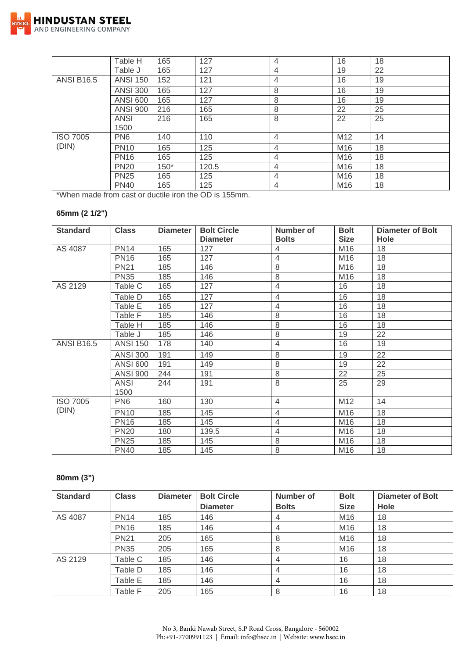

|                   | Table H         | 165    | 127   | 4              | 16              | 18 |
|-------------------|-----------------|--------|-------|----------------|-----------------|----|
|                   | Table J         | 165    | 127   | 4              | 19              | 22 |
| <b>ANSI B16.5</b> | <b>ANSI 150</b> | 152    | 121   | $\overline{4}$ | 16              | 19 |
|                   | <b>ANSI 300</b> | 165    | 127   | 8              | 16              | 19 |
|                   | <b>ANSI 600</b> | 165    | 127   | 8              | 16              | 19 |
|                   | <b>ANSI 900</b> | 216    | 165   | 8              | 22              | 25 |
|                   | <b>ANSI</b>     | 216    | 165   | 8              | 22              | 25 |
|                   | 1500            |        |       |                |                 |    |
| <b>ISO 7005</b>   | PN <sub>6</sub> | 140    | 110   | $\overline{4}$ | M12             | 14 |
| (DIN)             | <b>PN10</b>     | 165    | 125   | 4              | M16             | 18 |
|                   | <b>PN16</b>     | 165    | 125   | $\overline{4}$ | M16             | 18 |
|                   | <b>PN20</b>     | $150*$ | 120.5 | $\overline{4}$ | M16             | 18 |
|                   | <b>PN25</b>     | 165    | 125   | 4              | M16             | 18 |
|                   | <b>PN40</b>     | 165    | 125   | $\overline{4}$ | M <sub>16</sub> | 18 |

\*When made from cast or ductile iron the OD is 155mm.

## **65mm (2 1/2")**

| <b>Standard</b>   | <b>Class</b>        | <b>Diameter</b> | <b>Bolt Circle</b><br><b>Diameter</b> | Number of<br><b>Bolts</b> | <b>Bolt</b><br><b>Size</b> | <b>Diameter of Bolt</b><br><b>Hole</b> |
|-------------------|---------------------|-----------------|---------------------------------------|---------------------------|----------------------------|----------------------------------------|
| AS 4087           | <b>PN14</b>         | 165             | 127                                   | 4                         | M16                        | 18                                     |
|                   | <b>PN16</b>         | 165             | 127                                   | $\overline{4}$            | M16                        | 18                                     |
|                   | <b>PN21</b>         | 185             | 146                                   | 8                         | M16                        | 18                                     |
|                   | <b>PN35</b>         | 185             | 146                                   | 8                         | M16                        | 18                                     |
| AS 2129           | Table C             | 165             | 127                                   | $\overline{4}$            | 16                         | 18                                     |
|                   | Table D             | 165             | 127                                   | $\overline{4}$            | 16                         | 18                                     |
|                   | Table E             | 165             | 127                                   | 4                         | 16                         | 18                                     |
|                   | Table F             | 185             | 146                                   | 8                         | 16                         | 18                                     |
|                   | Table H             | 185             | 146                                   | 8                         | 16                         | 18                                     |
|                   | Table J             | 185             | 146                                   | 8                         | 19                         | 22                                     |
| <b>ANSI B16.5</b> | <b>ANSI 150</b>     | 178             | 140                                   | $\overline{4}$            | 16                         | 19                                     |
|                   | <b>ANSI 300</b>     | 191             | 149                                   | 8                         | 19                         | 22                                     |
|                   | <b>ANSI 600</b>     | 191             | 149                                   | 8                         | 19                         | 22                                     |
|                   | <b>ANSI 900</b>     | 244             | 191                                   | 8                         | 22                         | 25                                     |
|                   | <b>ANSI</b><br>1500 | 244             | 191                                   | 8                         | 25                         | 29                                     |
| <b>ISO 7005</b>   | PN <sub>6</sub>     | 160             | 130                                   | $\overline{4}$            | M12                        | 14                                     |
| (DIN)             | <b>PN10</b>         | 185             | 145                                   | $\overline{4}$            | M16                        | 18                                     |
|                   | <b>PN16</b>         | 185             | 145                                   | $\overline{4}$            | M16                        | 18                                     |
|                   | <b>PN20</b>         | 180             | 139.5                                 | $\overline{4}$            | M16                        | 18                                     |
|                   | <b>PN25</b>         | 185             | 145                                   | 8                         | M16                        | 18                                     |
|                   | <b>PN40</b>         | 185             | 145                                   | 8                         | M16                        | 18                                     |

#### **80mm (3")**

| <b>Standard</b> | <b>Class</b> | <b>Diameter</b> | <b>Bolt Circle</b><br><b>Diameter</b> | Number of<br><b>Bolts</b> | <b>Bolt</b><br><b>Size</b> | <b>Diameter of Bolt</b><br><b>Hole</b> |
|-----------------|--------------|-----------------|---------------------------------------|---------------------------|----------------------------|----------------------------------------|
| AS 4087         | <b>PN14</b>  | 185             | 146                                   | 4                         | M16                        | 18                                     |
|                 | <b>PN16</b>  | 185             | 146                                   | 4                         | M16                        | 18                                     |
|                 | <b>PN21</b>  | 205             | 165                                   | 8                         | M16                        | 18                                     |
|                 | <b>PN35</b>  | 205             | 165                                   | 8                         | M16                        | 18                                     |
| AS 2129         | Table C      | 185             | 146                                   | 4                         | 16                         | 18                                     |
|                 | Table D      | 185             | 146                                   | $\overline{4}$            | 16                         | 18                                     |
|                 | Table E      | 185             | 146                                   | $\overline{4}$            | 16                         | 18                                     |
|                 | Table F      | 205             | 165                                   | 8                         | 16                         | 18                                     |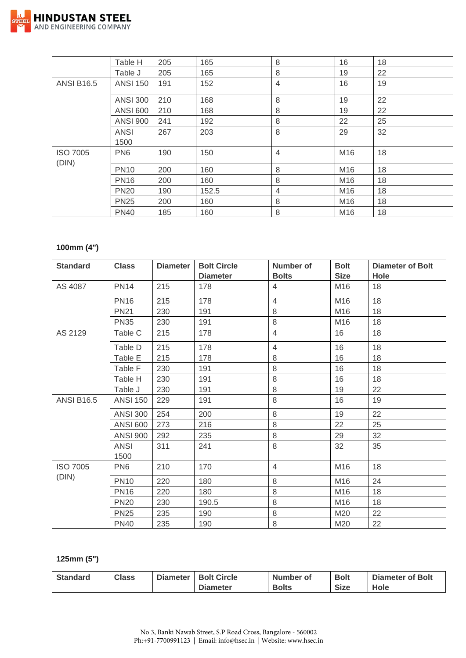

|                          | Table H             | 205 | 165   | 8              | 16  | 18 |
|--------------------------|---------------------|-----|-------|----------------|-----|----|
|                          | Table J             | 205 | 165   | 8              | 19  | 22 |
| <b>ANSI B16.5</b>        | <b>ANSI 150</b>     | 191 | 152   | $\overline{4}$ | 16  | 19 |
|                          | <b>ANSI 300</b>     | 210 | 168   | 8              | 19  | 22 |
|                          | <b>ANSI 600</b>     | 210 | 168   | 8              | 19  | 22 |
|                          | <b>ANSI 900</b>     | 241 | 192   | 8              | 22  | 25 |
|                          | <b>ANSI</b><br>1500 | 267 | 203   | 8              | 29  | 32 |
| <b>ISO 7005</b><br>(DIN) | PN <sub>6</sub>     | 190 | 150   | $\overline{4}$ | M16 | 18 |
|                          | <b>PN10</b>         | 200 | 160   | 8              | M16 | 18 |
|                          | <b>PN16</b>         | 200 | 160   | 8              | M16 | 18 |
|                          | <b>PN20</b>         | 190 | 152.5 | 4              | M16 | 18 |
|                          | <b>PN25</b>         | 200 | 160   | 8              | M16 | 18 |
|                          | <b>PN40</b>         | 185 | 160   | 8              | M16 | 18 |

## **100mm (4")**

| <b>Standard</b>   | <b>Class</b>        | <b>Diameter</b> | <b>Bolt Circle</b> | <b>Number of</b> | <b>Bolt</b>     | <b>Diameter of Bolt</b> |
|-------------------|---------------------|-----------------|--------------------|------------------|-----------------|-------------------------|
|                   |                     |                 | <b>Diameter</b>    | <b>Bolts</b>     | <b>Size</b>     | Hole                    |
| AS 4087           | <b>PN14</b>         | 215             | 178                | 4                | M16             | 18                      |
|                   | <b>PN16</b>         | 215             | 178                | $\overline{4}$   | M16             | 18                      |
|                   | <b>PN21</b>         | 230             | 191                | 8                | M16             | 18                      |
|                   | <b>PN35</b>         | 230             | 191                | 8                | M16             | 18                      |
| AS 2129           | Table C             | 215             | 178                | $\overline{4}$   | 16              | 18                      |
|                   | Table D             | 215             | 178                | $\overline{4}$   | 16              | 18                      |
|                   | Table E             | 215             | 178                | 8                | 16              | 18                      |
|                   | Table F             | 230             | 191                | 8                | 16              | 18                      |
|                   | Table H             | 230             | 191                | 8                | 16              | 18                      |
|                   | Table J             | 230             | 191                | 8                | 19              | 22                      |
| <b>ANSI B16.5</b> | <b>ANSI 150</b>     | 229             | 191                | 8                | 16              | 19                      |
|                   | <b>ANSI 300</b>     | 254             | 200                | 8                | 19              | 22                      |
|                   | <b>ANSI 600</b>     | 273             | 216                | 8                | 22              | 25                      |
|                   | <b>ANSI 900</b>     | 292             | 235                | 8                | 29              | 32                      |
|                   | <b>ANSI</b><br>1500 | 311             | 241                | 8                | 32              | 35                      |
| <b>ISO 7005</b>   | PN <sub>6</sub>     | 210             | 170                | 4                | M16             | 18                      |
| (DIN)             | <b>PN10</b>         | 220             | 180                | 8                | M16             | 24                      |
|                   | <b>PN16</b>         | 220             | 180                | 8                | M <sub>16</sub> | 18                      |
|                   | <b>PN20</b>         | 230             | 190.5              | 8                | M <sub>16</sub> | 18                      |
|                   | <b>PN25</b>         | 235             | 190                | 8                | M20             | 22                      |
|                   | <b>PN40</b>         | 235             | 190                | 8                | M20             | 22                      |

#### **125mm (5")**

| <b>Standard</b> | <b>Class</b> | <b>Diameter</b> | <b>Bolt Circle</b> | Number of    | <b>Bolt</b> | <b>Diameter of Bolt</b> |
|-----------------|--------------|-----------------|--------------------|--------------|-------------|-------------------------|
|                 |              |                 | <b>Diameter</b>    | <b>Bolts</b> | <b>Size</b> | Hole                    |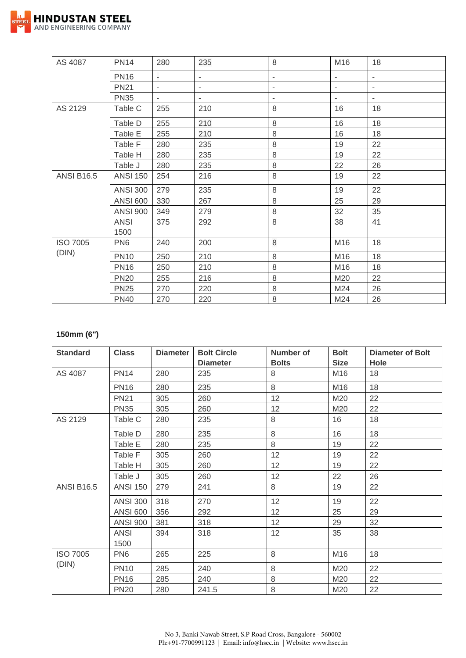

| AS 4087           | <b>PN14</b>         | 280                      | 235                      | 8       | M16                      | 18                       |
|-------------------|---------------------|--------------------------|--------------------------|---------|--------------------------|--------------------------|
|                   | <b>PN16</b>         | $\overline{\phantom{0}}$ | -                        | -       | $\overline{\phantom{a}}$ | ۰                        |
|                   | <b>PN21</b>         | $\overline{\phantom{a}}$ | ۰                        | ۰       | ٠                        | $\overline{\phantom{a}}$ |
|                   | <b>PN35</b>         | $\overline{\phantom{a}}$ | $\overline{\phantom{a}}$ | ٠       | $\sim$                   | ۰.                       |
| AS 2129           | Table C             | 255                      | 210                      | 8       | 16                       | 18                       |
|                   | Table D             | 255                      | 210                      | 8       | 16                       | 18                       |
|                   | Table E             | 255                      | 210                      | 8       | 16                       | 18                       |
|                   | Table F             | 280                      | 235                      | $\,8\,$ | 19                       | 22                       |
|                   | Table H             | 280                      | 235                      | 8       | 19                       | 22                       |
|                   | Table J             | 280                      | 235                      | $\,8\,$ | 22                       | 26                       |
| <b>ANSI B16.5</b> | <b>ANSI 150</b>     | 254                      | 216                      | 8       | 19                       | 22                       |
|                   | <b>ANSI 300</b>     | 279                      | 235                      | 8       | 19                       | 22                       |
|                   | <b>ANSI 600</b>     | 330                      | 267                      | $\,8\,$ | 25                       | 29                       |
|                   | <b>ANSI 900</b>     | 349                      | 279                      | $\,8\,$ | 32                       | 35                       |
|                   | <b>ANSI</b><br>1500 | 375                      | 292                      | 8       | 38                       | 41                       |
| <b>ISO 7005</b>   | PN <sub>6</sub>     | 240                      | 200                      | 8       | M16                      | 18                       |
| (DIN)             | <b>PN10</b>         | 250                      | 210                      | $\,8\,$ | M16                      | 18                       |
|                   | <b>PN16</b>         | 250                      | 210                      | 8       | M16                      | 18                       |
|                   | <b>PN20</b>         | 255                      | 216                      | 8       | M20                      | 22                       |
|                   | <b>PN25</b>         | 270                      | 220                      | 8       | M24                      | 26                       |
|                   | <b>PN40</b>         | 270                      | 220                      | $\,8\,$ | M24                      | 26                       |

## **150mm (6")**

| <b>Standard</b>   | <b>Class</b>        | <b>Diameter</b> | <b>Bolt Circle</b><br><b>Diameter</b> | Number of<br><b>Bolts</b> | <b>Bolt</b><br><b>Size</b> | Diameter of Bolt<br>Hole |
|-------------------|---------------------|-----------------|---------------------------------------|---------------------------|----------------------------|--------------------------|
| AS 4087           | <b>PN14</b>         | 280             | 235                                   | 8                         | M16                        | 18                       |
|                   | <b>PN16</b>         | 280             | 235                                   | 8                         | M16                        | 18                       |
|                   | <b>PN21</b>         | 305             | 260                                   | 12                        | M20                        | 22                       |
|                   | <b>PN35</b>         | 305             | 260                                   | 12                        | M20                        | 22                       |
| AS 2129           | Table C             | 280             | 235                                   | 8                         | 16                         | 18                       |
|                   | Table D             | 280             | 235                                   | 8                         | 16                         | 18                       |
|                   | Table E             | 280             | 235                                   | 8                         | 19                         | 22                       |
|                   | Table F             | 305             | 260                                   | 12                        | 19                         | 22                       |
|                   | Table H             | 305             | 260                                   | 12                        | 19                         | 22                       |
|                   | Table J             | 305             | 260                                   | 12                        | 22                         | 26                       |
| <b>ANSI B16.5</b> | <b>ANSI 150</b>     | 279             | 241                                   | 8                         | 19                         | 22                       |
|                   | <b>ANSI 300</b>     | 318             | 270                                   | 12                        | 19                         | 22                       |
|                   | <b>ANSI 600</b>     | 356             | 292                                   | 12                        | 25                         | 29                       |
|                   | <b>ANSI 900</b>     | 381             | 318                                   | 12                        | 29                         | 32                       |
|                   | <b>ANSI</b><br>1500 | 394             | 318                                   | 12                        | 35                         | 38                       |
| <b>ISO 7005</b>   | PN <sub>6</sub>     | 265             | 225                                   | 8                         | M16                        | 18                       |
| (DIN)             | <b>PN10</b>         | 285             | 240                                   | 8                         | M20                        | 22                       |
|                   | <b>PN16</b>         | 285             | 240                                   | 8                         | M20                        | 22                       |
|                   | <b>PN20</b>         | 280             | 241.5                                 | $\,8\,$                   | M20                        | 22                       |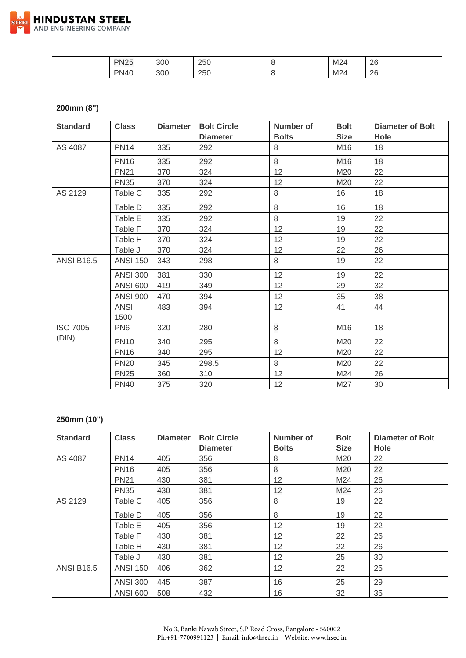

| <b>PN25</b><br>_____ | 300 | 250 | M24 | 26<br>∠⊂<br>__ |
|----------------------|-----|-----|-----|----------------|
| <b>PN40</b>          | 300 | 250 | M24 | റമ<br>∼        |

#### **200mm (8")**

| <b>Standard</b>   | <b>Class</b>    | <b>Diameter</b> | <b>Bolt Circle</b> | Number of    | <b>Bolt</b> | <b>Diameter of Bolt</b> |
|-------------------|-----------------|-----------------|--------------------|--------------|-------------|-------------------------|
|                   |                 |                 | <b>Diameter</b>    | <b>Bolts</b> | <b>Size</b> | <b>Hole</b>             |
| AS 4087           | <b>PN14</b>     | 335             | 292                | 8            | M16         | 18                      |
|                   | <b>PN16</b>     | 335             | 292                | 8            | M16         | 18                      |
|                   | <b>PN21</b>     | 370             | 324                | 12           | M20         | 22                      |
|                   | <b>PN35</b>     | 370             | 324                | 12           | M20         | 22                      |
| AS 2129           | Table C         | 335             | 292                | 8            | 16          | 18                      |
|                   | Table D         | 335             | 292                | 8            | 16          | 18                      |
|                   | Table E         | 335             | 292                | 8            | 19          | 22                      |
|                   | Table F         | 370             | 324                | 12           | 19          | 22                      |
|                   | Table H         | 370             | 324                | 12           | 19          | 22                      |
|                   | Table J         | 370             | 324                | 12           | 22          | 26                      |
| <b>ANSI B16.5</b> | <b>ANSI 150</b> | 343             | 298                | 8            | 19          | 22                      |
|                   | <b>ANSI 300</b> | 381             | 330                | 12           | 19          | 22                      |
|                   | <b>ANSI 600</b> | 419             | 349                | 12           | 29          | 32                      |
|                   | <b>ANSI 900</b> | 470             | 394                | 12           | 35          | 38                      |
|                   | <b>ANSI</b>     | 483             | 394                | 12           | 41          | 44                      |
|                   | 1500            |                 |                    |              |             |                         |
| <b>ISO 7005</b>   | PN <sub>6</sub> | 320             | 280                | 8            | M16         | 18                      |
| (DIN)             | <b>PN10</b>     | 340             | 295                | 8            | M20         | 22                      |
|                   | <b>PN16</b>     | 340             | 295                | 12           | M20         | 22                      |
|                   | <b>PN20</b>     | 345             | 298.5              | 8            | M20         | 22                      |
|                   | <b>PN25</b>     | 360             | 310                | 12           | M24         | 26                      |
|                   | <b>PN40</b>     | 375             | 320                | 12           | M27         | 30                      |

## **250mm (10")**

| <b>Standard</b>   | <b>Class</b>    | <b>Diameter</b> | <b>Bolt Circle</b> | Number of       | <b>Bolt</b> | <b>Diameter of Bolt</b> |
|-------------------|-----------------|-----------------|--------------------|-----------------|-------------|-------------------------|
|                   |                 |                 | <b>Diameter</b>    | <b>Bolts</b>    | <b>Size</b> | Hole                    |
| AS 4087           | <b>PN14</b>     | 405             | 356                | 8               | M20         | 22                      |
|                   | <b>PN16</b>     | 405             | 356                | 8               | M20         | 22                      |
|                   | <b>PN21</b>     | 430             | 381                | 12              | M24         | 26                      |
|                   | <b>PN35</b>     | 430             | 381                | 12              | M24         | 26                      |
| AS 2129           | Table C         | 405             | 356                | 8               | 19          | 22                      |
|                   | Table D         | 405             | 356                | 8               | 19          | 22                      |
|                   | Table E         | 405             | 356                | 12              | 19          | 22                      |
|                   | Table F         | 430             | 381                | 12              | 22          | 26                      |
|                   | Table H         | 430             | 381                | 12              | 22          | 26                      |
|                   | Table J         | 430             | 381                | 12 <sup>2</sup> | 25          | 30                      |
| <b>ANSI B16.5</b> | <b>ANSI 150</b> | 406             | 362                | 12              | 22          | 25                      |
|                   | <b>ANSI 300</b> | 445             | 387                | 16              | 25          | 29                      |
|                   | <b>ANSI 600</b> | 508             | 432                | 16              | 32          | 35                      |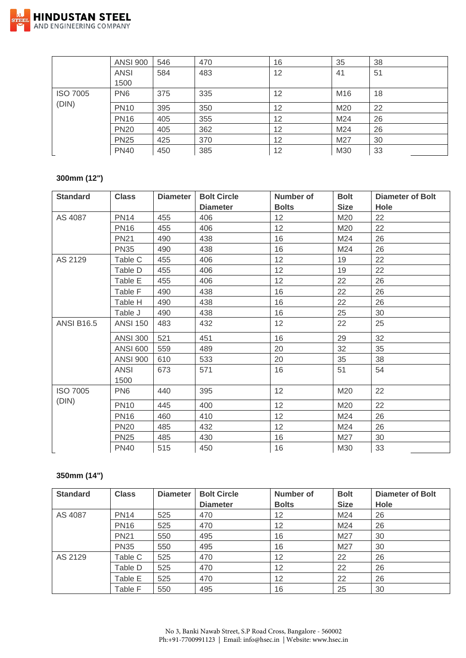

|                 | <b>ANSI 900</b> | 546 | 470 | 16 | 35  | 38 |
|-----------------|-----------------|-----|-----|----|-----|----|
|                 | <b>ANSI</b>     | 584 | 483 | 12 | 41  | 51 |
|                 | 1500            |     |     |    |     |    |
| <b>ISO 7005</b> | PN <sub>6</sub> | 375 | 335 | 12 | M16 | 18 |
| (DIN)           | <b>PN10</b>     | 395 | 350 | 12 | M20 | 22 |
|                 | <b>PN16</b>     | 405 | 355 | 12 | M24 | 26 |
|                 | <b>PN20</b>     | 405 | 362 | 12 | M24 | 26 |
|                 | <b>PN25</b>     | 425 | 370 | 12 | M27 | 30 |
|                 | <b>PN40</b>     | 450 | 385 | 12 | M30 | 33 |

## **300mm (12")**

| <b>Standard</b>   | <b>Class</b>        | <b>Diameter</b> | <b>Bolt Circle</b> | Number of    | <b>Bolt</b> | <b>Diameter of Bolt</b> |
|-------------------|---------------------|-----------------|--------------------|--------------|-------------|-------------------------|
|                   |                     |                 | <b>Diameter</b>    | <b>Bolts</b> | <b>Size</b> | <b>Hole</b>             |
| AS 4087           | <b>PN14</b>         | 455             | 406                | 12           | M20         | 22                      |
|                   | <b>PN16</b>         | 455             | 406                | 12           | M20         | 22                      |
|                   | <b>PN21</b>         | 490             | 438                | 16           | M24         | 26                      |
|                   | <b>PN35</b>         | 490             | 438                | 16           | M24         | 26                      |
| AS 2129           | Table C             | 455             | 406                | 12           | 19          | 22                      |
|                   | Table D             | 455             | 406                | 12           | 19          | 22                      |
|                   | Table E             | 455             | 406                | 12           | 22          | 26                      |
|                   | Table F             | 490             | 438                | 16           | 22          | 26                      |
|                   | Table H             | 490             | 438                | 16           | 22          | 26                      |
|                   | Table J             | 490             | 438                | 16           | 25          | 30                      |
| <b>ANSI B16.5</b> | <b>ANSI 150</b>     | 483             | 432                | 12           | 22          | 25                      |
|                   | <b>ANSI 300</b>     | 521             | 451                | 16           | 29          | 32                      |
|                   | <b>ANSI 600</b>     | 559             | 489                | 20           | 32          | 35                      |
|                   | <b>ANSI 900</b>     | 610             | 533                | 20           | 35          | 38                      |
|                   | <b>ANSI</b><br>1500 | 673             | 571                | 16           | 51          | 54                      |
| <b>ISO 7005</b>   | PN <sub>6</sub>     | 440             | 395                | 12           | M20         | 22                      |
| (DIN)             | <b>PN10</b>         | 445             | 400                | 12           | M20         | 22                      |
|                   | <b>PN16</b>         | 460             | 410                | 12           | M24         | 26                      |
|                   | <b>PN20</b>         | 485             | 432                | 12           | M24         | 26                      |
|                   | <b>PN25</b>         | 485             | 430                | 16           | M27         | 30                      |
|                   | <b>PN40</b>         | 515             | 450                | 16           | M30         | 33                      |

## **350mm (14")**

| <b>Standard</b> | <b>Class</b> | <b>Diameter</b> | <b>Bolt Circle</b> | <b>Number of</b> | <b>Bolt</b> | <b>Diameter of Bolt</b> |
|-----------------|--------------|-----------------|--------------------|------------------|-------------|-------------------------|
|                 |              |                 | <b>Diameter</b>    | <b>Bolts</b>     | <b>Size</b> | Hole                    |
| AS 4087         | <b>PN14</b>  | 525             | 470                | 12               | M24         | 26                      |
|                 | <b>PN16</b>  | 525             | 470                | 12               | M24         | 26                      |
|                 | <b>PN21</b>  | 550             | 495                | 16               | M27         | 30                      |
|                 | <b>PN35</b>  | 550             | 495                | 16               | M27         | 30                      |
| AS 2129         | Table C      | 525             | 470                | 12               | 22          | 26                      |
|                 | Table D      | 525             | 470                | 12               | 22          | 26                      |
|                 | Table E      | 525             | 470                | 12               | 22          | 26                      |
|                 | Table F      | 550             | 495                | 16               | 25          | 30                      |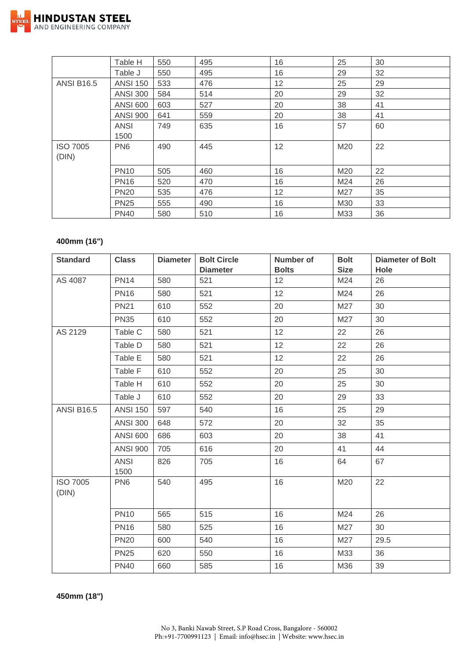

|                   | Table H         | 550 | 495 | 16 | 25  | 30 |
|-------------------|-----------------|-----|-----|----|-----|----|
|                   | Table J         | 550 | 495 | 16 | 29  | 32 |
| <b>ANSI B16.5</b> | <b>ANSI 150</b> | 533 | 476 | 12 | 25  | 29 |
|                   | <b>ANSI 300</b> | 584 | 514 | 20 | 29  | 32 |
|                   | <b>ANSI 600</b> | 603 | 527 | 20 | 38  | 41 |
|                   | <b>ANSI 900</b> | 641 | 559 | 20 | 38  | 41 |
|                   | <b>ANSI</b>     | 749 | 635 | 16 | 57  | 60 |
|                   | 1500            |     |     |    |     |    |
| <b>ISO 7005</b>   | PN <sub>6</sub> | 490 | 445 | 12 | M20 | 22 |
| (DIN)             |                 |     |     |    |     |    |
|                   | <b>PN10</b>     | 505 | 460 | 16 | M20 | 22 |
|                   | <b>PN16</b>     | 520 | 470 | 16 | M24 | 26 |
|                   | <b>PN20</b>     | 535 | 476 | 12 | M27 | 35 |
|                   | <b>PN25</b>     | 555 | 490 | 16 | M30 | 33 |
|                   | <b>PN40</b>     | 580 | 510 | 16 | M33 | 36 |

#### **400mm (16")**

| <b>Standard</b>          | <b>Class</b>        | <b>Diameter</b> | <b>Bolt Circle</b><br><b>Diameter</b> | <b>Number of</b><br><b>Bolts</b> | <b>Bolt</b><br><b>Size</b> | <b>Diameter of Bolt</b><br>Hole |
|--------------------------|---------------------|-----------------|---------------------------------------|----------------------------------|----------------------------|---------------------------------|
| AS 4087                  | <b>PN14</b>         | 580             | 521                                   | 12                               | M24                        | 26                              |
|                          | <b>PN16</b>         | 580             | 521                                   | 12                               | M24                        | 26                              |
|                          | <b>PN21</b>         | 610             | 552                                   | 20                               | M27                        | 30                              |
|                          | <b>PN35</b>         | 610             | 552                                   | 20                               | M27                        | 30                              |
| AS 2129                  | Table C             | 580             | 521                                   | 12                               | 22                         | 26                              |
|                          | Table D             | 580             | 521                                   | 12                               | 22                         | 26                              |
|                          | Table E             | 580             | 521                                   | 12                               | 22                         | 26                              |
|                          | Table F             | 610             | 552                                   | 20                               | 25                         | 30                              |
|                          | Table H             | 610             | 552                                   | 20                               | 25                         | 30                              |
|                          | Table J             | 610             | 552                                   | 20                               | 29                         | 33                              |
| <b>ANSI B16.5</b>        | <b>ANSI 150</b>     | 597             | 540                                   | 16                               | 25                         | 29                              |
|                          | <b>ANSI 300</b>     | 648             | 572                                   | 20                               | 32                         | 35                              |
|                          | <b>ANSI 600</b>     | 686             | 603                                   | 20                               | 38                         | 41                              |
|                          | <b>ANSI 900</b>     | 705             | 616                                   | 20                               | 41                         | 44                              |
|                          | <b>ANSI</b><br>1500 | 826             | 705                                   | 16                               | 64                         | 67                              |
| <b>ISO 7005</b><br>(DIN) | PN <sub>6</sub>     | 540             | 495                                   | 16                               | M20                        | 22                              |
|                          | <b>PN10</b>         | 565             | 515                                   | 16                               | M24                        | 26                              |
|                          | <b>PN16</b>         | 580             | 525                                   | 16                               | M27                        | 30                              |
|                          | <b>PN20</b>         | 600             | 540                                   | 16                               | M27                        | 29.5                            |
|                          | <b>PN25</b>         | 620             | 550                                   | 16                               | M33                        | 36                              |
|                          | <b>PN40</b>         | 660             | 585                                   | 16                               | M36                        | 39                              |

**450mm (18")**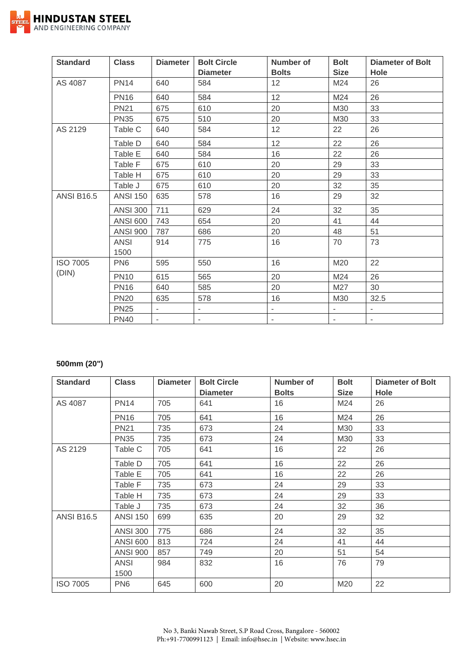

| <b>Standard</b>   | <b>Class</b>        | <b>Diameter</b>             | <b>Bolt Circle</b>       | <b>Number of</b>         | <b>Bolt</b>              | <b>Diameter of Bolt</b>  |
|-------------------|---------------------|-----------------------------|--------------------------|--------------------------|--------------------------|--------------------------|
|                   |                     |                             | <b>Diameter</b>          | <b>Bolts</b>             | <b>Size</b>              | Hole                     |
| AS 4087           | <b>PN14</b>         | 640                         | 584                      | 12                       | M24                      | 26                       |
|                   | <b>PN16</b>         | 640                         | 584                      | 12                       | M24                      | 26                       |
|                   | <b>PN21</b>         | 675                         | 610                      | 20                       | M30                      | 33                       |
|                   | <b>PN35</b>         | 675                         | 510                      | 20                       | M30                      | 33                       |
| AS 2129           | Table C             | 640                         | 584                      | 12                       | 22                       | 26                       |
|                   | Table D             | 640                         | 584                      | 12                       | 22                       | 26                       |
|                   | Table E             | 640                         | 584                      | 16                       | 22                       | 26                       |
|                   | Table F             | 675                         | 610                      | 20                       | 29                       | 33                       |
|                   | Table H             | 675                         | 610                      | 20                       | 29                       | 33                       |
|                   | Table J             | 675                         | 610                      | 20                       | 32                       | 35                       |
| <b>ANSI B16.5</b> | <b>ANSI 150</b>     | 635                         | 578                      | 16                       | 29                       | 32                       |
|                   | <b>ANSI 300</b>     | 711                         | 629                      | 24                       | 32                       | 35                       |
|                   | <b>ANSI 600</b>     | 743                         | 654                      | 20                       | 41                       | 44                       |
|                   | <b>ANSI 900</b>     | 787                         | 686                      | 20                       | 48                       | 51                       |
|                   | <b>ANSI</b><br>1500 | 914                         | 775                      | 16                       | 70                       | 73                       |
| <b>ISO 7005</b>   | PN <sub>6</sub>     | 595                         | 550                      | 16                       | M20                      | 22                       |
| (DIN)             | <b>PN10</b>         | 615                         | 565                      | 20                       | M24                      | 26                       |
|                   | <b>PN16</b>         | 640                         | 585                      | 20                       | M27                      | 30                       |
|                   | <b>PN20</b>         | 635                         | 578                      | 16                       | M30                      | 32.5                     |
|                   | <b>PN25</b>         | $\mathcal{L}_{\mathcal{A}}$ | ۰                        | $\overline{\phantom{a}}$ | $\overline{\phantom{a}}$ | $\overline{\phantom{a}}$ |
|                   | <b>PN40</b>         | $\overline{\phantom{a}}$    | $\overline{\phantom{0}}$ | $\overline{\phantom{0}}$ | ä,                       | $\blacksquare$           |

## **500mm (20")**

| <b>Standard</b>   | <b>Class</b>        | <b>Diameter</b> | <b>Bolt Circle</b><br><b>Diameter</b> | Number of<br><b>Bolts</b> | <b>Bolt</b><br><b>Size</b> | <b>Diameter of Bolt</b><br>Hole |
|-------------------|---------------------|-----------------|---------------------------------------|---------------------------|----------------------------|---------------------------------|
| AS 4087           | <b>PN14</b>         | 705             | 641                                   | 16                        | M24                        | 26                              |
|                   | <b>PN16</b>         | 705             | 641                                   | 16                        | M24                        | 26                              |
|                   | <b>PN21</b>         | 735             | 673                                   | 24                        | M30                        | 33                              |
|                   | <b>PN35</b>         | 735             | 673                                   | 24                        | M30                        | 33                              |
| AS 2129           | Table C             | 705             | 641                                   | 16                        | 22                         | 26                              |
|                   | Table D             | 705             | 641                                   | 16                        | 22                         | 26                              |
|                   | Table E             | 705             | 641                                   | 16                        | 22                         | 26                              |
|                   | Table F             | 735             | 673                                   | 24                        | 29                         | 33                              |
|                   | Table H             | 735             | 673                                   | 24                        | 29                         | 33                              |
|                   | Table J             | 735             | 673                                   | 24                        | 32                         | 36                              |
| <b>ANSI B16.5</b> | <b>ANSI 150</b>     | 699             | 635                                   | 20                        | 29                         | 32                              |
|                   | <b>ANSI 300</b>     | 775             | 686                                   | 24                        | 32                         | 35                              |
|                   | <b>ANSI 600</b>     | 813             | 724                                   | 24                        | 41                         | 44                              |
|                   | <b>ANSI 900</b>     | 857             | 749                                   | 20                        | 51                         | 54                              |
|                   | <b>ANSI</b><br>1500 | 984             | 832                                   | 16                        | 76                         | 79                              |
| <b>ISO 7005</b>   | PN <sub>6</sub>     | 645             | 600                                   | 20                        | M20                        | 22                              |